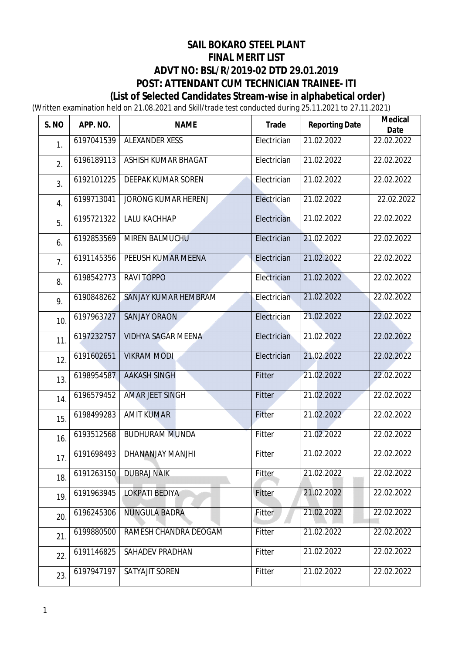# **SAIL BOKARO STEEL PLANT FINAL MERIT LIST ADVT NO: BSL/R/2019-02 DTD 29.01.2019 POST: ATTENDANT CUM TECHNICIAN TRAINEE- ITI (List of Selected Candidates Stream-wise in alphabetical order)**

(Written examination held on 21.08.2021 and Skill/trade test conducted during 25.11.2021 to 27.11.2021)

| S. NO | APP. NO.   | <b>NAME</b>               | <b>Trade</b> | <b>Reporting Date</b> | <b>Medical</b><br><b>Date</b> |
|-------|------------|---------------------------|--------------|-----------------------|-------------------------------|
| 1.    | 6197041539 | <b>ALEXANDER XESS</b>     | Electrician  | 21.02.2022            | 22.02.2022                    |
| 2.    | 6196189113 | ASHISH KUMAR BHAGAT       | Electrician  | 21.02.2022            | 22.02.2022                    |
| 3.    | 6192101225 | DEEPAK KUMAR SOREN        | Electrician  | 21.02.2022            | 22.02.2022                    |
| 4.    | 6199713041 | JORONG KUMAR HERENJ       | Electrician  | 21.02.2022            | 22.02.2022                    |
| 5.    | 6195721322 | <b>LALU KACHHAP</b>       | Electrician  | 21.02.2022            | 22.02.2022                    |
| 6.    | 6192853569 | MIREN BALMUCHU            | Electrician  | 21.02.2022            | 22.02.2022                    |
| 7.    | 6191145356 | PEEUSH KUMAR MEENA        | Electrician  | 21.02.2022            | 22.02.2022                    |
| 8.    | 6198542773 | <b>RAVITOPPO</b>          | Electrician  | 21.02.2022            | 22.02.2022                    |
| 9.    | 6190848262 | SANJAY KUMAR HEMBRAM      | Electrician  | 21.02.2022            | 22.02.2022                    |
| 10.   | 6197963727 | <b>SANJAY ORAON</b>       | Electrician  | 21.02.2022            | 22.02.2022                    |
| 11.   | 6197232757 | <b>VIDHYA SAGAR MEENA</b> | Electrician  | 21.02.2022            | 22.02.2022                    |
| 12.   | 6191602651 | <b>VIKRAM MODI</b>        | Electrician  | 21.02.2022            | 22.02.2022                    |
| 13.   | 6198954587 | <b>AAKASH SINGH</b>       | Fitter       | 21.02.2022            | 22.02.2022                    |
| 14.   | 6196579452 | <b>AMAR JEET SINGH</b>    | Fitter       | 21.02.2022            | 22.02.2022                    |
| 15.   | 6198499283 | <b>AMIT KUMAR</b>         | Fitter       | 21.02.2022            | 22.02.2022                    |
| 16.   | 6193512568 | <b>BUDHURAM MUNDA</b>     | Fitter       | 21.02.2022            | 22.02.2022                    |
| 17.   | 6191698493 | DHANANJAY MANJHI          | Fitter       | 21.02.2022            | 22.02.2022                    |
| 18.   | 6191263150 | <b>DUBRAJ NAIK</b>        | Fitter       | 21.02.2022            | 22.02.2022                    |
| 19.   | 6191963945 | <b>LOKPATI BEDIYA</b>     | Fitter       | 21.02.2022            | 22.02.2022                    |
| 20.   | 6196245306 | <b>NUNGULA BADRA</b>      | Fitter       | 21.02.2022            | 22.02.2022                    |
| 21.   | 6199880500 | RAMESH CHANDRA DEOGAM     | Fitter       | 21.02.2022            | 22.02.2022                    |
| 22.   | 6191146825 | SAHADEV PRADHAN           | Fitter       | 21.02.2022            | 22.02.2022                    |
| 23.   | 6197947197 | SATYAJIT SOREN            | Fitter       | 21.02.2022            | 22.02.2022                    |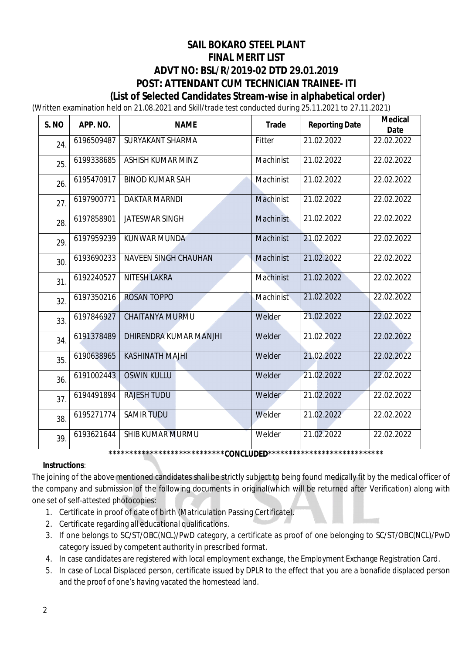## **SAIL BOKARO STEEL PLANT FINAL MERIT LIST ADVT NO: BSL/R/2019-02 DTD 29.01.2019 POST: ATTENDANT CUM TECHNICIAN TRAINEE- ITI (List of Selected Candidates Stream-wise in alphabetical order)**

(Written examination held on 21.08.2021 and Skill/trade test conducted during 25.11.2021 to 27.11.2021)

| S. NO | APP. NO.   | <b>NAME</b>                                                        | <b>Trade</b> | <b>Reporting Date</b> | <b>Medical</b><br><b>Date</b> |
|-------|------------|--------------------------------------------------------------------|--------------|-----------------------|-------------------------------|
| 24.   | 6196509487 | SURYAKANT SHARMA                                                   | Fitter       | 21.02.2022            | 22.02.2022                    |
| 25.   | 6199338685 | ASHISH KUMAR MINZ                                                  | Machinist    | 21.02.2022            | 22.02.2022                    |
| 26.   | 6195470917 | <b>BINOD KUMAR SAH</b>                                             | Machinist    | 21.02.2022            | 22.02.2022                    |
| 27.   | 6197900771 | <b>DAKTAR MARNDI</b>                                               | Machinist    | 21.02.2022            | 22.02.2022                    |
| 28.   | 6197858901 | JATESWAR SINGH                                                     | Machinist    | 21.02.2022            | 22.02.2022                    |
| 29.   | 6197959239 | <b>KUNWAR MUNDA</b>                                                | Machinist    | 21.02.2022            | 22.02.2022                    |
| 30.   | 6193690233 | <b>NAVEEN SINGH CHAUHAN</b>                                        | Machinist    | 21.02.2022            | 22.02.2022                    |
| 31.   | 6192240527 | <b>NITESH LAKRA</b>                                                | Machinist    | 21.02.2022            | 22.02.2022                    |
| 32.   | 6197350216 | <b>ROSAN TOPPO</b>                                                 | Machinist    | 21.02.2022            | 22.02.2022                    |
| 33.   | 6197846927 | <b>CHAITANYA MURMU</b>                                             | Welder       | 21.02.2022            | 22.02.2022                    |
| 34.   | 6191378489 | DHIRENDRA KUMAR MANJHI                                             | Welder       | 21.02.2022            | 22.02.2022                    |
| 35.   | 6190638965 | <b>KASHINATH MAJHI</b>                                             | Welder       | 21.02.2022            | 22.02.2022                    |
| 36.   | 6191002443 | <b>OSWIN KULLU</b>                                                 | Welder       | 21.02.2022            | 22.02.2022                    |
| 37.   | 6194491894 | <b>RAJESH TUDU</b>                                                 | Welder       | 21.02.2022            | 22.02.2022                    |
| 38.   | 6195271774 | <b>SAMIR TUDU</b>                                                  | Welder       | 21.02.2022            | 22.02.2022                    |
| 39.   | 6193621644 | <b>SHIB KUMAR MURMU</b>                                            | Welder       | 21.02.2022            | 22.02.2022                    |
|       |            | *****************************CONCLUDED**************************** |              |                       |                               |

### **Instructions**:

The joining of the above mentioned candidates shall be strictly subject to being found medically fit by the medical officer of the company and submission of the following documents in original(which will be returned after Verification) along with one set of self-attested photocopies:

- 1. Certificate in proof of date of birth (Matriculation Passing Certificate).
- 2. Certificate regarding all educational qualifications.
- 3. If one belongs to SC/ST/OBC(NCL)/PwD category, a certificate as proof of one belonging to SC/ST/OBC(NCL)/PwD category issued by competent authority in prescribed format.
- 4. In case candidates are registered with local employment exchange, the Employment Exchange Registration Card.
- 5. In case of Local Displaced person, certificate issued by DPLR to the effect that you are a bonafide displaced person and the proof of one's having vacated the homestead land.